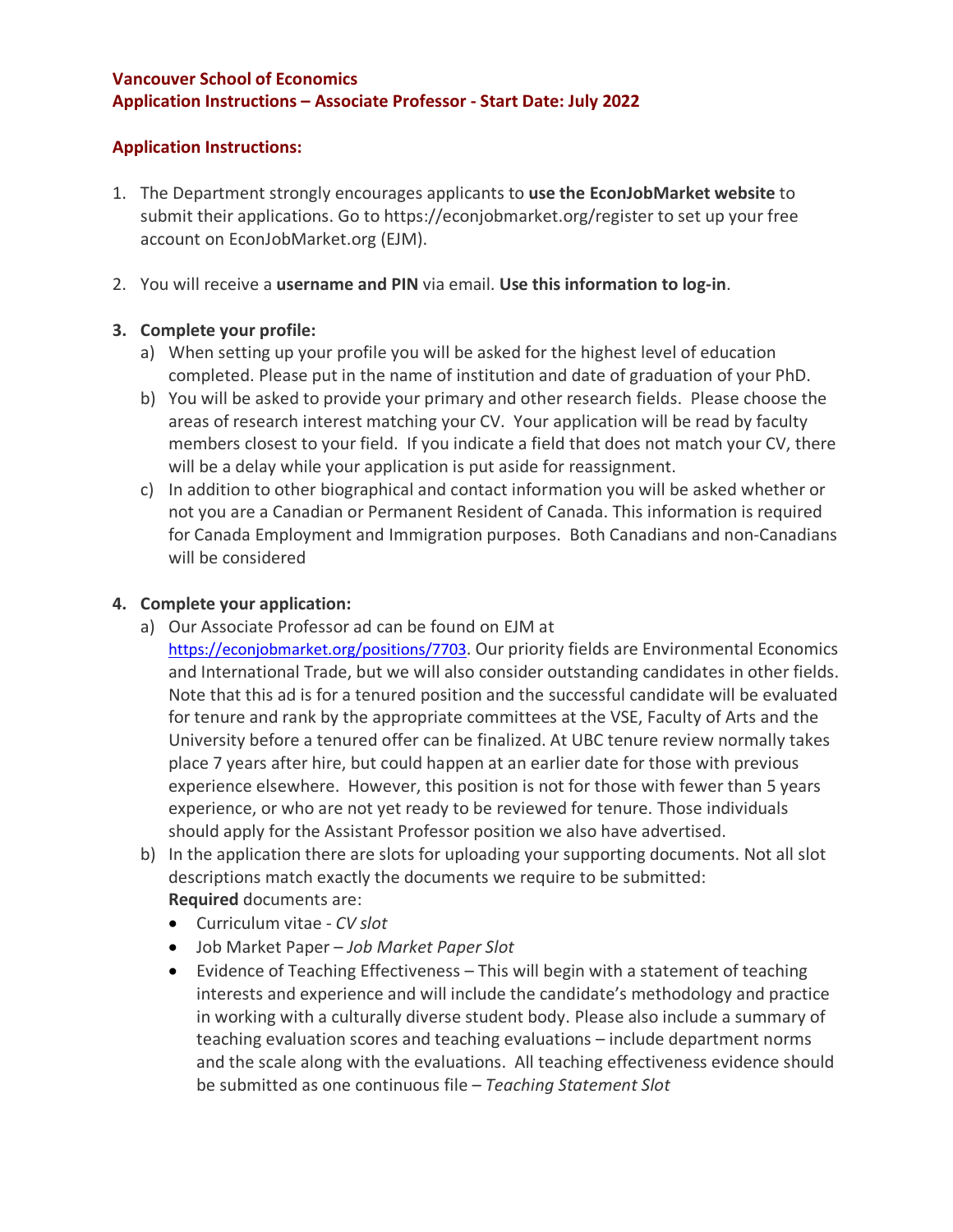### **Vancouver School of Economics Application Instructions – Associate Professor - Start Date: July 2022**

## **Application Instructions:**

- 1. The Department strongly encourages applicants to **use the EconJobMarket website** to submit their applications. Go to https://econjobmarket.org/register to set up your free account on EconJobMarket.org (EJM).
- 2. You will receive a **username and PIN** via email. **Use this information to log-in**.

## **3. Complete your profile:**

- a) When setting up your profile you will be asked for the highest level of education completed. Please put in the name of institution and date of graduation of your PhD.
- b) You will be asked to provide your primary and other research fields. Please choose the areas of research interest matching your CV. Your application will be read by faculty members closest to your field. If you indicate a field that does not match your CV, there will be a delay while your application is put aside for reassignment.
- c) In addition to other biographical and contact information you will be asked whether or not you are a Canadian or Permanent Resident of Canada. This information is required for Canada Employment and Immigration purposes. Both Canadians and non-Canadians will be considered

## **4. Complete your application:**

- a) Our Associate Professor ad can be found on EJM at https://econjobmarket.org/positions/7703. Our priority fields are Environmental Economics and International Trade, but we will also consider outstanding candidates in other fields. Note that this ad is for a tenured position and the successful candidate will be evaluated for tenure and rank by the appropriate committees at the VSE, Faculty of Arts and the University before a tenured offer can be finalized. At UBC tenure review normally takes place 7 years after hire, but could happen at an earlier date for those with previous experience elsewhere. However, this position is not for those with fewer than 5 years experience, or who are not yet ready to be reviewed for tenure. Those individuals should apply for the Assistant Professor position we also have advertised.
- b) In the application there are slots for uploading your supporting documents. Not all slot descriptions match exactly the documents we require to be submitted: **Required** documents are:
	- Curriculum vitae *CV slot*
	- Job Market Paper *Job Market Paper Slot*
	- Evidence of Teaching Effectiveness This will begin with a statement of teaching interests and experience and will include the candidate's methodology and practice in working with a culturally diverse student body. Please also include a summary of teaching evaluation scores and teaching evaluations – include department norms and the scale along with the evaluations. All teaching effectiveness evidence should be submitted as one continuous file – *Teaching Statement Slot*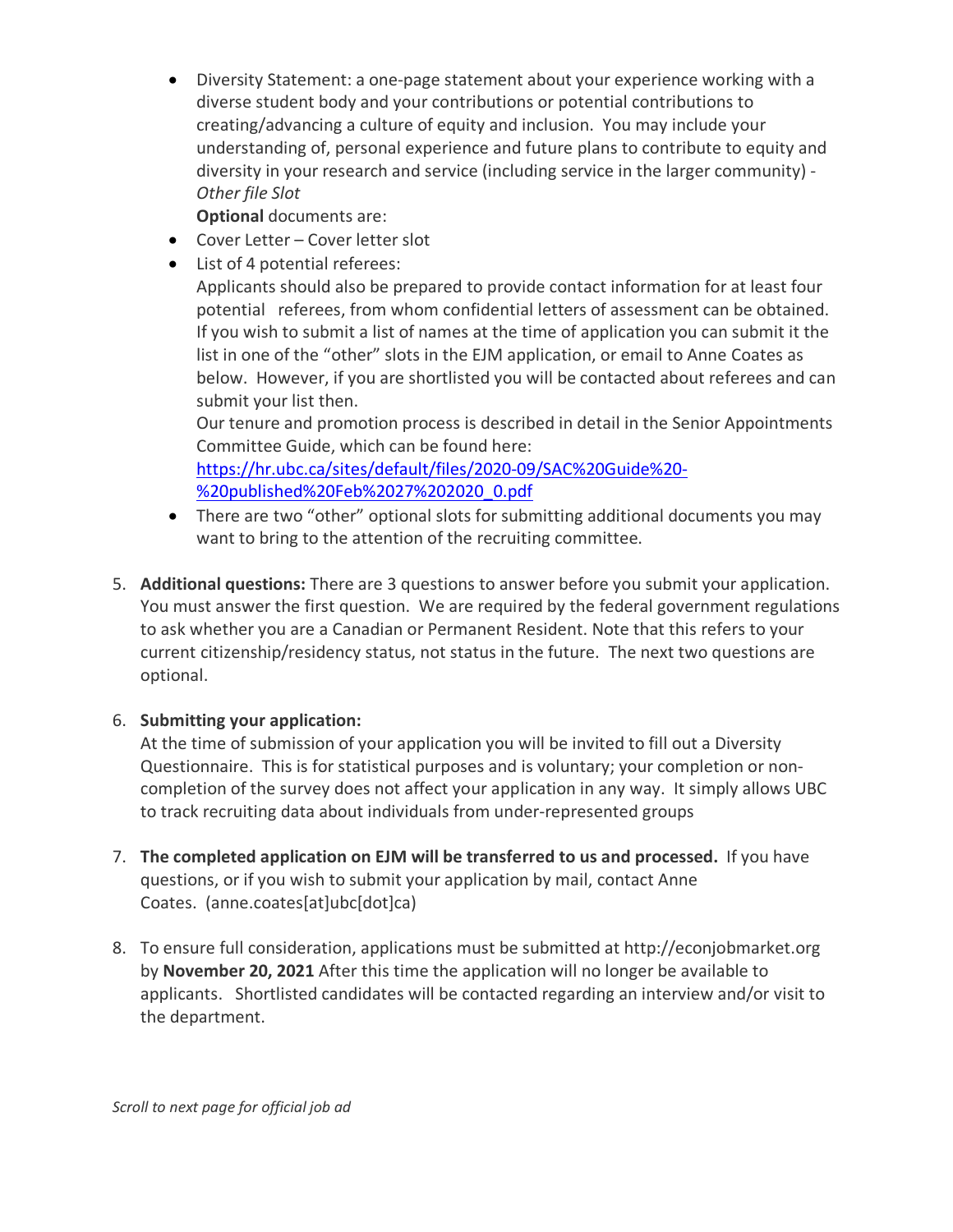• Diversity Statement: a one-page statement about your experience working with a diverse student body and your contributions or potential contributions to creating/advancing a culture of equity and inclusion. You may include your understanding of, personal experience and future plans to contribute to equity and diversity in your research and service (including service in the larger community) - *Other file Slot*

**Optional** documents are:

- Cover Letter Cover letter slot
- List of 4 potential referees:

Applicants should also be prepared to provide contact information for at least four potential referees, from whom confidential letters of assessment can be obtained. If you wish to submit a list of names at the time of application you can submit it the list in one of the "other" slots in the EJM application, or email to Anne Coates as below. However, if you are shortlisted you will be contacted about referees and can submit your list then.

Our tenure and promotion process is described in detail in the Senior Appointments Committee Guide, which can be found here:

https://hr.ubc.ca/sites/default/files/2020-09/SAC%20Guide%20- %20published%20Feb%2027%202020\_0.pdf

- There are two "other" optional slots for submitting additional documents you may want to bring to the attention of the recruiting committee.
- 5. **Additional questions:** There are 3 questions to answer before you submit your application. You must answer the first question. We are required by the federal government regulations to ask whether you are a Canadian or Permanent Resident. Note that this refers to your current citizenship/residency status, not status in the future. The next two questions are optional.

# 6. **Submitting your application:**

At the time of submission of your application you will be invited to fill out a Diversity Questionnaire. This is for statistical purposes and is voluntary; your completion or noncompletion of the survey does not affect your application in any way. It simply allows UBC to track recruiting data about individuals from under-represented groups

- 7. **The completed application on EJM will be transferred to us and processed.** If you have questions, or if you wish to submit your application by mail, contact Anne Coates. (anne.coates[at]ubc[dot]ca)
- 8. To ensure full consideration, applications must be submitted at http://econjobmarket.org by **November 20, 2021** After this time the application will no longer be available to applicants. Shortlisted candidates will be contacted regarding an interview and/or visit to the department.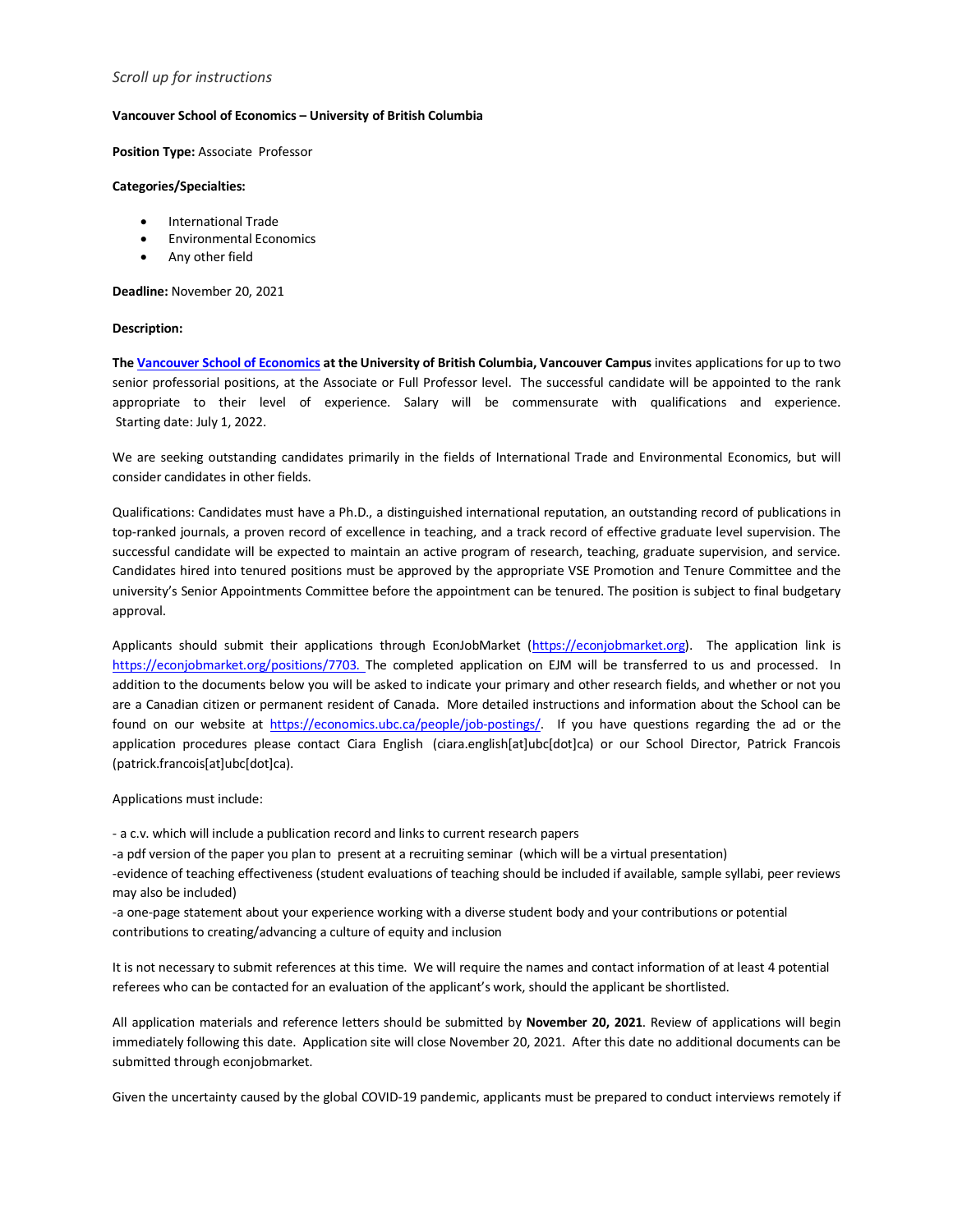### *Scroll up for instructions*

### **Vancouver School of Economics – University of British Columbia**

**Position Type:** Associate Professor

#### **Categories/Specialties:**

- International Trade
- Environmental Economics
- Any other field

**Deadline:** November 20, 2021

#### **Description:**

**The Vancouver School of Economics at the University of British Columbia, Vancouver Campus** invites applications for up to two senior professorial positions, at the Associate or Full Professor level. The successful candidate will be appointed to the rank appropriate to their level of experience. Salary will be commensurate with qualifications and experience. Starting date: July 1, 2022.

We are seeking outstanding candidates primarily in the fields of International Trade and Environmental Economics, but will consider candidates in other fields.

Qualifications: Candidates must have a Ph.D., a distinguished international reputation, an outstanding record of publications in top-ranked journals, a proven record of excellence in teaching, and a track record of effective graduate level supervision. The successful candidate will be expected to maintain an active program of research, teaching, graduate supervision, and service. Candidates hired into tenured positions must be approved by the appropriate VSE Promotion and Tenure Committee and the university's Senior Appointments Committee before the appointment can be tenured. The position is subject to final budgetary approval.

Applicants should submit their applications through EconJobMarket (https://econjobmarket.org). The application link is https://econjobmarket.org/positions/7703. The completed application on EJM will be transferred to us and processed. In addition to the documents below you will be asked to indicate your primary and other research fields, and whether or not you are a Canadian citizen or permanent resident of Canada. More detailed instructions and information about the School can be found on our website at https://economics.ubc.ca/people/job-postings/. If you have questions regarding the ad or the application procedures please contact Ciara English (ciara.english[at]ubc[dot]ca) or our School Director, Patrick Francois (patrick.francois[at]ubc[dot]ca).

Applications must include:

- a c.v. which will include a publication record and links to current research papers

-a pdf version of the paper you plan to present at a recruiting seminar (which will be a virtual presentation)

-evidence of teaching effectiveness (student evaluations of teaching should be included if available, sample syllabi, peer reviews may also be included)

-a one-page statement about your experience working with a diverse student body and your contributions or potential contributions to creating/advancing a culture of equity and inclusion

It is not necessary to submit references at this time. We will require the names and contact information of at least 4 potential referees who can be contacted for an evaluation of the applicant's work, should the applicant be shortlisted.

All application materials and reference letters should be submitted by **November 20, 2021**. Review of applications will begin immediately following this date. Application site will close November 20, 2021. After this date no additional documents can be submitted through econjobmarket.

Given the uncertainty caused by the global COVID-19 pandemic, applicants must be prepared to conduct interviews remotely if